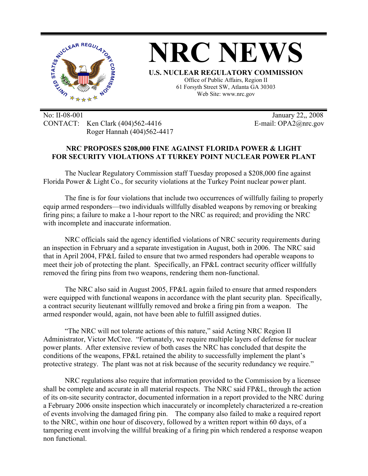

**NRC NEWS U.S. NUCLEAR REGULATORY COMMISSION** Office of Public Affairs, Region II 61 Forsyth Street SW, Atlanta GA 30303

Web Site: www.nrc.gov

No: II-08-001 January 22,, 2008 CONTACT: Ken Clark (404)562-4416 E-mail: OPA2@nrc.gov Roger Hannah (404)562-4417

## **NRC PROPOSES \$208,000 FINE AGAINST FLORIDA POWER & LIGHT FOR SECURITY VIOLATIONS AT TURKEY POINT NUCLEAR POWER PLANT**

The Nuclear Regulatory Commission staff Tuesday proposed a \$208,000 fine against Florida Power & Light Co., for security violations at the Turkey Point nuclear power plant.

 The fine is for four violations that include two occurrences of willfully failing to properly equip armed responders—two individuals willfully disabled weapons by removing or breaking firing pins; a failure to make a 1-hour report to the NRC as required; and providing the NRC with incomplete and inaccurate information.

 NRC officials said the agency identified violations of NRC security requirements during an inspection in February and a separate investigation in August, both in 2006. The NRC said that in April 2004, FP&L failed to ensure that two armed responders had operable weapons to meet their job of protecting the plant. Specifically, an FP&L contract security officer willfully removed the firing pins from two weapons, rendering them non-functional.

The NRC also said in August 2005, FP&L again failed to ensure that armed responders were equipped with functional weapons in accordance with the plant security plan. Specifically, a contract security lieutenant willfully removed and broke a firing pin from a weapon. The armed responder would, again, not have been able to fulfill assigned duties .

"The NRC will not tolerate actions of this nature," said Acting NRC Region II Administrator, Victor McCree. "Fortunately, we require multiple layers of defense for nuclear power plants. After extensive review of both cases the NRC has concluded that despite the conditions of the weapons, FP&L retained the ability to successfully implement the plant's protective strategy. The plant was not at risk because of the security redundancy we require."

 NRC regulations also require that information provided to the Commission by a licensee shall be complete and accurate in all material respects. The NRC said FP&L, through the action of its on-site security contractor, documented information in a report provided to the NRC during a February 2006 onsite inspection which inaccurately or incompletely characterized a re-creation of events involving the damaged firing pin. The company also failed to make a required report to the NRC, within one hour of discovery, followed by a written report within 60 days, of a tampering event involving the willful breaking of a firing pin which rendered a response weapon non functional.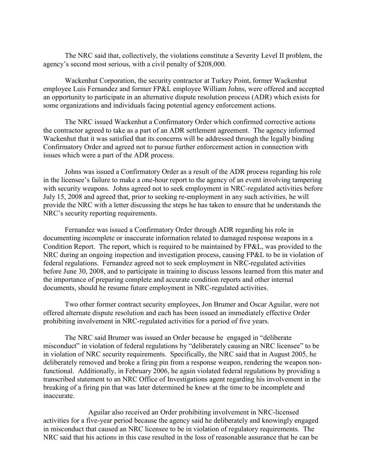The NRC said that, collectively, the violations constitute a Severity Level II problem, the agency's second most serious, with a civil penalty of \$208,000.

 Wackenhut Corporation, the security contractor at Turkey Point, former Wackenhut employee Luis Fernandez and former FP&L employee William Johns, were offered and accepted an opportunity to participate in an alternative dispute resolution process (ADR) which exists for some organizations and individuals facing potential agency enforcement actions.

The NRC issued Wackenhut a Confirmatory Order which confirmed corrective actions the contractor agreed to take as a part of an ADR settlement agreement. The agency informed Wackenhut that it was satisfied that its concerns will be addressed through the legally binding Confirmatory Order and agreed not to pursue further enforcement action in connection with issues which were a part of the ADR process.

Johns was issued a Confirmatory Order as a result of the ADR process regarding his role in the licensee's failure to make a one-hour report to the agency of an event involving tampering with security weapons. Johns agreed not to seek employment in NRC-regulated activities before July 15, 2008 and agreed that, prior to seeking re-employment in any such activities, he will provide the NRC with a letter discussing the steps he has taken to ensure that he understands the NRC's security reporting requirements.

Fernandez was issued a Confirmatory Order through ADR regarding his role in documenting incomplete or inaccurate information related to damaged response weapons in a Condition Report. The report, which is required to be maintained by FP&L, was provided to the NRC during an ongoing inspection and investigation process, causing FP&L to be in violation of federal regulations. Fernandez agreed not to seek employment in NRC-regulated activities before June 30, 2008, and to participate in training to discuss lessons learned from this mater and the importance of preparing complete and accurate condition reports and other internal documents, should he resume future employment in NRC-regulated activities.

Two other former contract security employees, Jon Brumer and Oscar Aguilar, were not offered alternate dispute resolution and each has been issued an immediately effective Order prohibiting involvement in NRC-regulated activities for a period of five years.

The NRC said Brumer was issued an Order because he engaged in "deliberate misconduct" in violation of federal regulations by "deliberately causing an NRC licensee" to be in violation of NRC security requirements. Specifically, the NRC said that in August 2005, he deliberately removed and broke a firing pin from a response weapon, rendering the weapon nonfunctional. Additionally, in February 2006, he again violated federal regulations by providing a transcribed statement to an NRC Office of Investigations agent regarding his involvement in the breaking of a firing pin that was later determined he knew at the time to be incomplete and inaccurate.

 Aguilar also received an Order prohibiting involvement in NRC-licensed activities for a five-year period because the agency said he deliberately and knowingly engaged in misconduct that caused an NRC licensee to be in violation of regulatory requirements. The NRC said that his actions in this case resulted in the loss of reasonable assurance that he can be